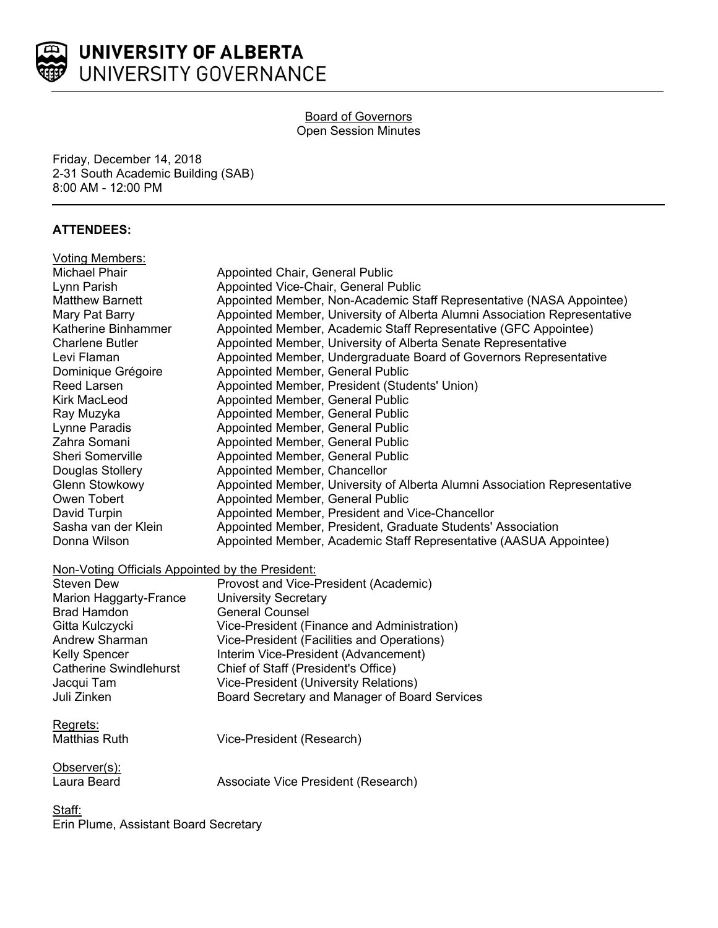

#### Board of Governors Open Session Minutes

Friday, December 14, 2018 2-31 South Academic Building (SAB) 8:00 AM - 12:00 PM

## **ATTENDEES:**

| <b>Voting Members:</b>                           |                                                                           |
|--------------------------------------------------|---------------------------------------------------------------------------|
| <b>Michael Phair</b>                             | Appointed Chair, General Public                                           |
| Lynn Parish                                      | Appointed Vice-Chair, General Public                                      |
| <b>Matthew Barnett</b>                           | Appointed Member, Non-Academic Staff Representative (NASA Appointee)      |
| Mary Pat Barry                                   | Appointed Member, University of Alberta Alumni Association Representative |
| Katherine Binhammer                              | Appointed Member, Academic Staff Representative (GFC Appointee)           |
| <b>Charlene Butler</b>                           | Appointed Member, University of Alberta Senate Representative             |
| Levi Flaman                                      | Appointed Member, Undergraduate Board of Governors Representative         |
| Dominique Grégoire                               | Appointed Member, General Public                                          |
| <b>Reed Larsen</b>                               | Appointed Member, President (Students' Union)                             |
| <b>Kirk MacLeod</b>                              | Appointed Member, General Public                                          |
| Ray Muzyka                                       | Appointed Member, General Public                                          |
| Lynne Paradis                                    | Appointed Member, General Public                                          |
| Zahra Somani                                     | Appointed Member, General Public                                          |
| Sheri Somerville                                 | Appointed Member, General Public                                          |
| Douglas Stollery                                 | Appointed Member, Chancellor                                              |
| <b>Glenn Stowkowy</b>                            | Appointed Member, University of Alberta Alumni Association Representative |
| Owen Tobert                                      | Appointed Member, General Public                                          |
| David Turpin                                     | Appointed Member, President and Vice-Chancellor                           |
| Sasha van der Klein                              | Appointed Member, President, Graduate Students' Association               |
| Donna Wilson                                     | Appointed Member, Academic Staff Representative (AASUA Appointee)         |
| Non-Voting Officials Appointed by the President: |                                                                           |
| <b>Steven Dew</b>                                | Provost and Vice-President (Academic)                                     |
| Marion Haggarty-France                           | <b>University Secretary</b>                                               |
| <b>Brad Hamdon</b>                               | <b>General Counsel</b>                                                    |
| Gitta Kulczycki                                  | Vice-President (Finance and Administration)                               |
| Andrew Sharman                                   | Vice-President (Facilities and Operations)                                |
| <b>Kelly Spencer</b>                             | Interim Vice-President (Advancement)                                      |
| <b>Catherine Swindlehurst</b>                    | Chief of Staff (President's Office)                                       |
| Jacqui Tam                                       | <b>Vice-President (University Relations)</b>                              |
| Juli Zinken                                      | Board Secretary and Manager of Board Services                             |
| Regrets:                                         |                                                                           |
| <b>Matthias Ruth</b>                             | Vice-President (Research)                                                 |
| Observer(s):                                     |                                                                           |
| Laura Beard                                      | Associate Vice President (Research)                                       |
| <u>Staff:</u>                                    |                                                                           |
| $\mathbf{L}$ . Decree Assistant Decree Occurred  |                                                                           |

Erin Plume, Assistant Board Secretary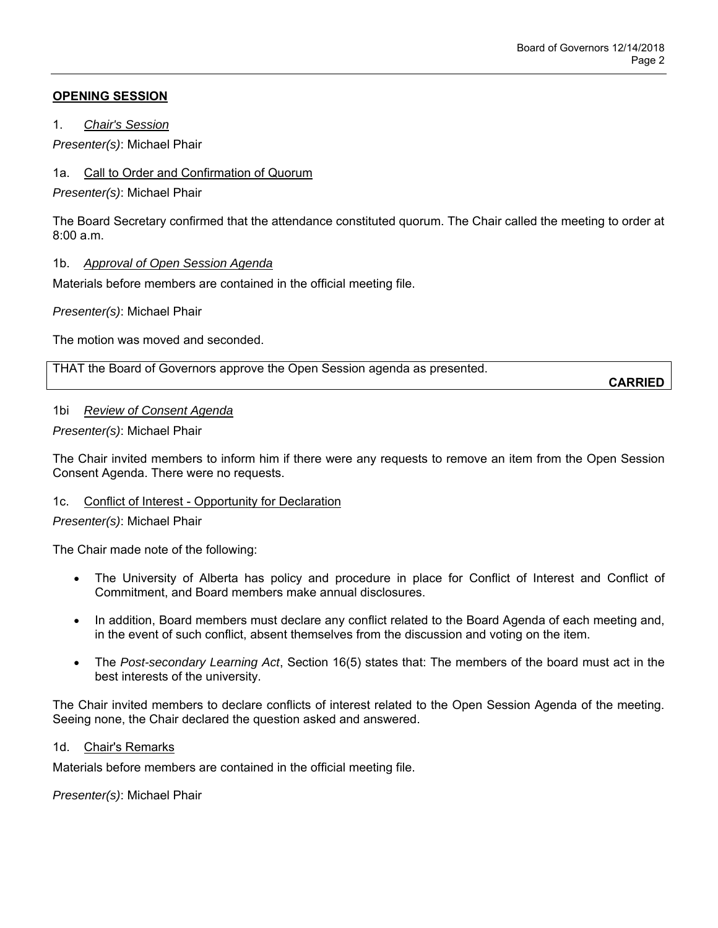# **OPENING SESSION**

1. *Chair's Session*

*Presenter(s)*: Michael Phair

## 1a. Call to Order and Confirmation of Quorum

*Presenter(s)*: Michael Phair

The Board Secretary confirmed that the attendance constituted quorum. The Chair called the meeting to order at  $8:00a \, m$ 

## 1b. *Approval of Open Session Agenda*

Materials before members are contained in the official meeting file.

*Presenter(s)*: Michael Phair

The motion was moved and seconded.

THAT the Board of Governors approve the Open Session agenda as presented.

**CARRIED**

## 1bi *Review of Consent Agenda*

*Presenter(s)*: Michael Phair

The Chair invited members to inform him if there were any requests to remove an item from the Open Session Consent Agenda. There were no requests.

## 1c. Conflict of Interest - Opportunity for Declaration

*Presenter(s)*: Michael Phair

The Chair made note of the following:

- The University of Alberta has policy and procedure in place for Conflict of Interest and Conflict of Commitment, and Board members make annual disclosures.
- In addition, Board members must declare any conflict related to the Board Agenda of each meeting and, in the event of such conflict, absent themselves from the discussion and voting on the item.
- The *Post-secondary Learning Act*, Section 16(5) states that: The members of the board must act in the best interests of the university.

The Chair invited members to declare conflicts of interest related to the Open Session Agenda of the meeting. Seeing none, the Chair declared the question asked and answered.

# 1d. Chair's Remarks

Materials before members are contained in the official meeting file.

*Presenter(s)*: Michael Phair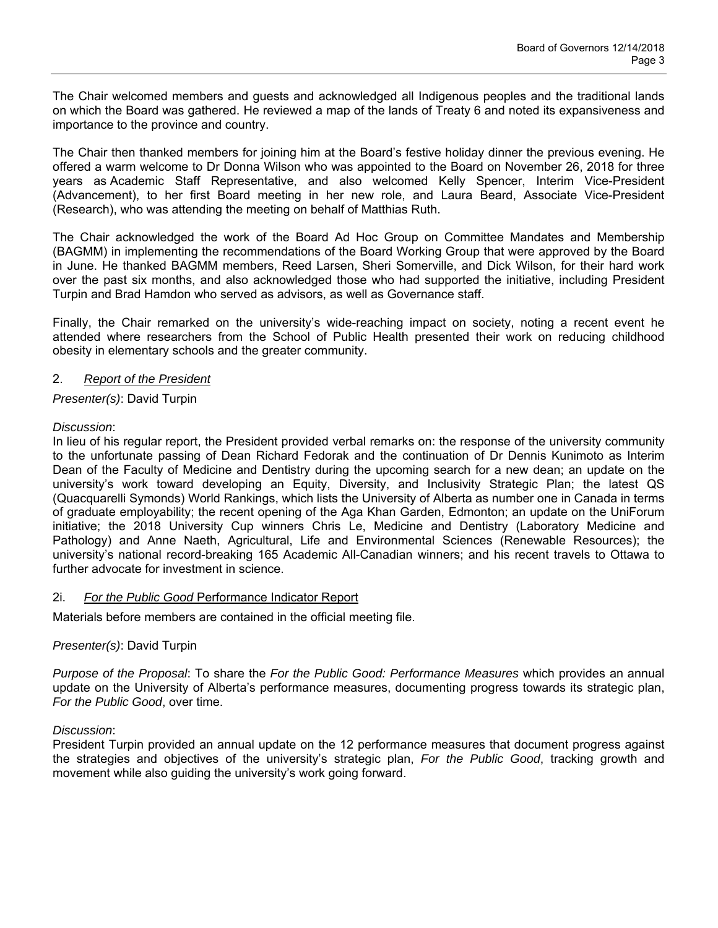The Chair welcomed members and guests and acknowledged all Indigenous peoples and the traditional lands on which the Board was gathered. He reviewed a map of the lands of Treaty 6 and noted its expansiveness and importance to the province and country.

The Chair then thanked members for joining him at the Board's festive holiday dinner the previous evening. He offered a warm welcome to Dr Donna Wilson who was appointed to the Board on November 26, 2018 for three years as Academic Staff Representative, and also welcomed Kelly Spencer, Interim Vice-President (Advancement), to her first Board meeting in her new role, and Laura Beard, Associate Vice-President (Research), who was attending the meeting on behalf of Matthias Ruth.

The Chair acknowledged the work of the Board Ad Hoc Group on Committee Mandates and Membership (BAGMM) in implementing the recommendations of the Board Working Group that were approved by the Board in June. He thanked BAGMM members, Reed Larsen, Sheri Somerville, and Dick Wilson, for their hard work over the past six months, and also acknowledged those who had supported the initiative, including President Turpin and Brad Hamdon who served as advisors, as well as Governance staff.

Finally, the Chair remarked on the university's wide-reaching impact on society, noting a recent event he attended where researchers from the School of Public Health presented their work on reducing childhood obesity in elementary schools and the greater community.

#### 2. *Report of the President*

## *Presenter(s)*: David Turpin

#### *Discussion*:

In lieu of his regular report, the President provided verbal remarks on: the response of the university community to the unfortunate passing of Dean Richard Fedorak and the continuation of Dr Dennis Kunimoto as Interim Dean of the Faculty of Medicine and Dentistry during the upcoming search for a new dean; an update on the university's work toward developing an Equity, Diversity, and Inclusivity Strategic Plan; the latest QS (Quacquarelli Symonds) World Rankings, which lists the University of Alberta as number one in Canada in terms of graduate employability; the recent opening of the Aga Khan Garden, Edmonton; an update on the UniForum initiative; the 2018 University Cup winners Chris Le, Medicine and Dentistry (Laboratory Medicine and Pathology) and Anne Naeth, Agricultural, Life and Environmental Sciences (Renewable Resources); the university's national record-breaking 165 Academic All-Canadian winners; and his recent travels to Ottawa to further advocate for investment in science.

## 2i. *For the Public Good* Performance Indicator Report

Materials before members are contained in the official meeting file.

## *Presenter(s)*: David Turpin

*Purpose of the Proposal*: To share the *For the Public Good: Performance Measures* which provides an annual update on the University of Alberta's performance measures, documenting progress towards its strategic plan, *For the Public Good*, over time.

#### *Discussion*:

President Turpin provided an annual update on the 12 performance measures that document progress against the strategies and objectives of the university's strategic plan, *For the Public Good*, tracking growth and movement while also guiding the university's work going forward.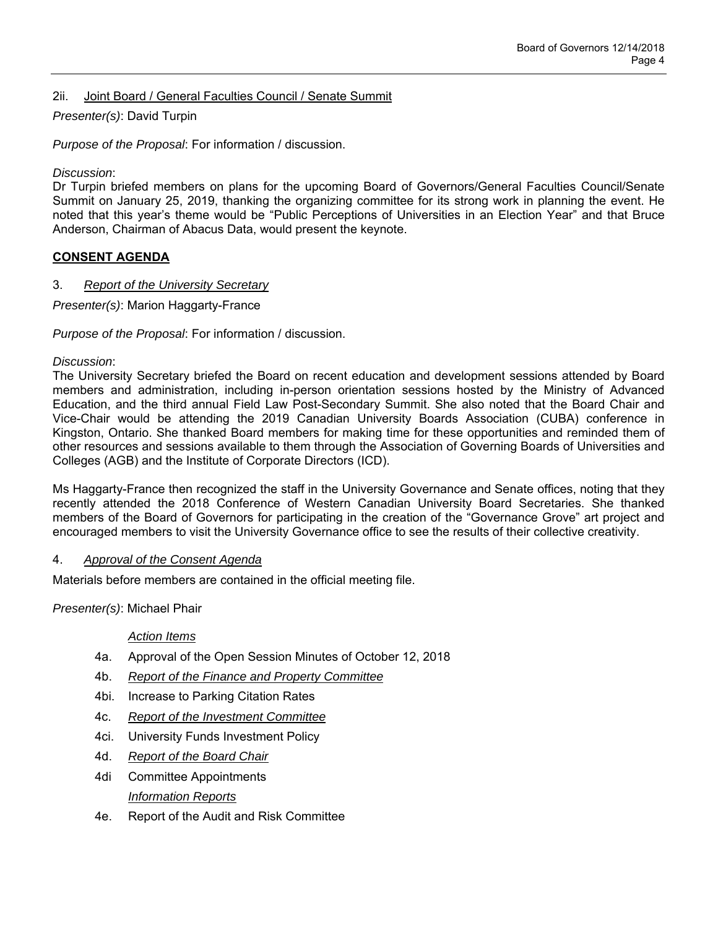# 2ii. Joint Board / General Faculties Council / Senate Summit

# *Presenter(s)*: David Turpin

*Purpose of the Proposal*: For information / discussion.

*Discussion*:

Dr Turpin briefed members on plans for the upcoming Board of Governors/General Faculties Council/Senate Summit on January 25, 2019, thanking the organizing committee for its strong work in planning the event. He noted that this year's theme would be "Public Perceptions of Universities in an Election Year" and that Bruce Anderson, Chairman of Abacus Data, would present the keynote.

## **CONSENT AGENDA**

## 3. *Report of the University Secretary*

*Presenter(s)*: Marion Haggarty-France

*Purpose of the Proposal*: For information / discussion.

#### *Discussion*:

The University Secretary briefed the Board on recent education and development sessions attended by Board members and administration, including in-person orientation sessions hosted by the Ministry of Advanced Education, and the third annual Field Law Post-Secondary Summit. She also noted that the Board Chair and Vice-Chair would be attending the 2019 Canadian University Boards Association (CUBA) conference in Kingston, Ontario. She thanked Board members for making time for these opportunities and reminded them of other resources and sessions available to them through the Association of Governing Boards of Universities and Colleges (AGB) and the Institute of Corporate Directors (ICD).

Ms Haggarty-France then recognized the staff in the University Governance and Senate offices, noting that they recently attended the 2018 Conference of Western Canadian University Board Secretaries. She thanked members of the Board of Governors for participating in the creation of the "Governance Grove" art project and encouraged members to visit the University Governance office to see the results of their collective creativity.

## 4. *Approval of the Consent Agenda*

Materials before members are contained in the official meeting file.

*Presenter(s)*: Michael Phair

## *Action Items*

- 4a. Approval of the Open Session Minutes of October 12, 2018
- 4b. *Report of the Finance and Property Committee*
- 4bi. Increase to Parking Citation Rates
- 4c. *Report of the Investment Committee*
- 4ci. University Funds Investment Policy
- 4d. *Report of the Board Chair*
- 4di Committee Appointments *Information Reports*
- 4e. Report of the Audit and Risk Committee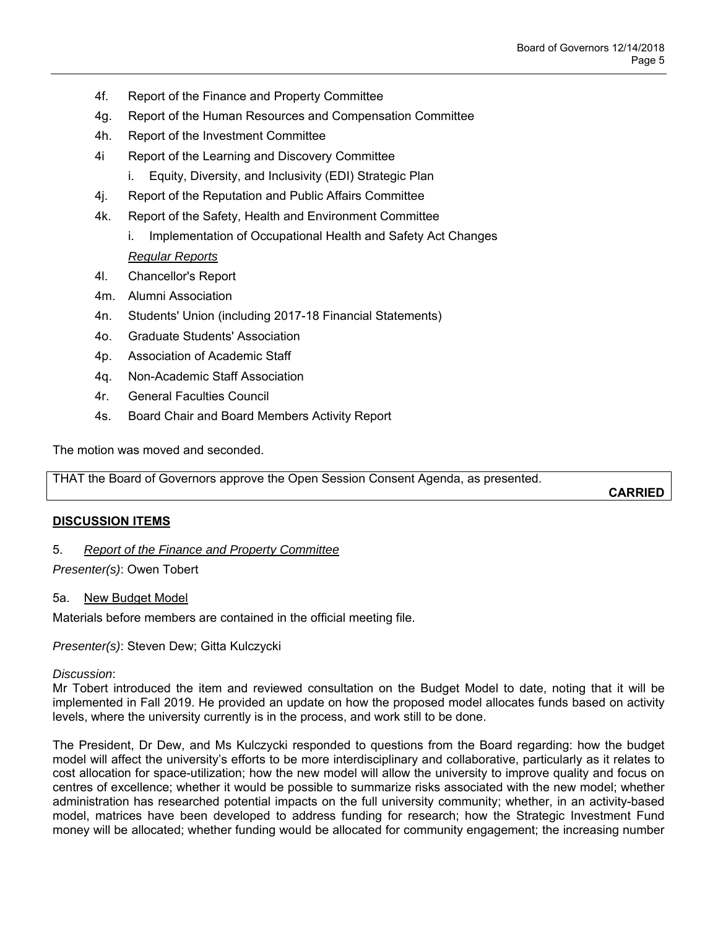- 4f. Report of the Finance and Property Committee
- 4g. Report of the Human Resources and Compensation Committee
- 4h. Report of the Investment Committee
- 4i Report of the Learning and Discovery Committee
	- i. Equity, Diversity, and Inclusivity (EDI) Strategic Plan
- 4j. Report of the Reputation and Public Affairs Committee
- 4k. Report of the Safety, Health and Environment Committee
	- i. Implementation of Occupational Health and Safety Act Changes *Regular Reports*
- 4l. Chancellor's Report
- 4m. Alumni Association
- 4n. Students' Union (including 2017-18 Financial Statements)
- 4o. Graduate Students' Association
- 4p. Association of Academic Staff
- 4q. Non-Academic Staff Association
- 4r. General Faculties Council
- 4s. Board Chair and Board Members Activity Report

The motion was moved and seconded.

THAT the Board of Governors approve the Open Session Consent Agenda, as presented.

**CARRIED**

## **DISCUSSION ITEMS**

## 5. *Report of the Finance and Property Committee*

*Presenter(s)*: Owen Tobert

#### 5a. New Budget Model

Materials before members are contained in the official meeting file.

*Presenter(s)*: Steven Dew; Gitta Kulczycki

#### *Discussion*:

Mr Tobert introduced the item and reviewed consultation on the Budget Model to date, noting that it will be implemented in Fall 2019. He provided an update on how the proposed model allocates funds based on activity levels, where the university currently is in the process, and work still to be done.

The President, Dr Dew, and Ms Kulczycki responded to questions from the Board regarding: how the budget model will affect the university's efforts to be more interdisciplinary and collaborative, particularly as it relates to cost allocation for space-utilization; how the new model will allow the university to improve quality and focus on centres of excellence; whether it would be possible to summarize risks associated with the new model; whether administration has researched potential impacts on the full university community; whether, in an activity-based model, matrices have been developed to address funding for research; how the Strategic Investment Fund money will be allocated; whether funding would be allocated for community engagement; the increasing number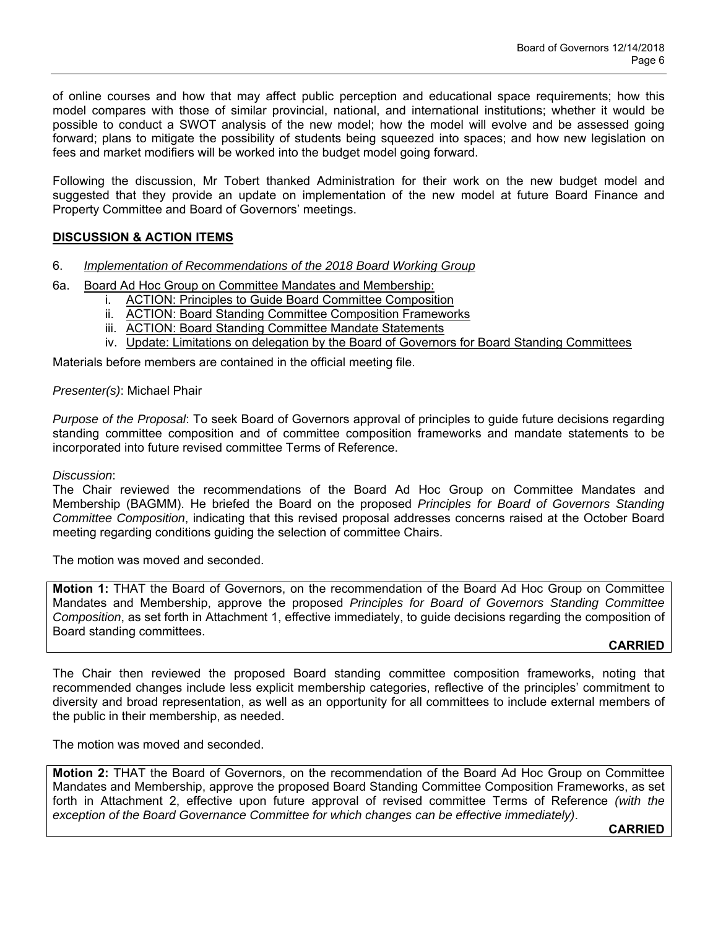of online courses and how that may affect public perception and educational space requirements; how this model compares with those of similar provincial, national, and international institutions; whether it would be possible to conduct a SWOT analysis of the new model; how the model will evolve and be assessed going forward; plans to mitigate the possibility of students being squeezed into spaces; and how new legislation on fees and market modifiers will be worked into the budget model going forward.

Following the discussion, Mr Tobert thanked Administration for their work on the new budget model and suggested that they provide an update on implementation of the new model at future Board Finance and Property Committee and Board of Governors' meetings.

# **DISCUSSION & ACTION ITEMS**

- 6. *Implementation of Recommendations of the 2018 Board Working Group*
- 6a. Board Ad Hoc Group on Committee Mandates and Membership:
	- i. ACTION: Principles to Guide Board Committee Composition
	- ii. ACTION: Board Standing Committee Composition Frameworks
	- iii. ACTION: Board Standing Committee Mandate Statements
	- iv. Update: Limitations on delegation by the Board of Governors for Board Standing Committees

Materials before members are contained in the official meeting file.

#### *Presenter(s)*: Michael Phair

*Purpose of the Proposal*: To seek Board of Governors approval of principles to guide future decisions regarding standing committee composition and of committee composition frameworks and mandate statements to be incorporated into future revised committee Terms of Reference.

#### *Discussion*:

The Chair reviewed the recommendations of the Board Ad Hoc Group on Committee Mandates and Membership (BAGMM). He briefed the Board on the proposed *Principles for Board of Governors Standing Committee Composition*, indicating that this revised proposal addresses concerns raised at the October Board meeting regarding conditions guiding the selection of committee Chairs.

The motion was moved and seconded.

**Motion 1:** THAT the Board of Governors, on the recommendation of the Board Ad Hoc Group on Committee Mandates and Membership, approve the proposed *Principles for Board of Governors Standing Committee Composition*, as set forth in Attachment 1, effective immediately, to guide decisions regarding the composition of Board standing committees.

#### **CARRIED**

The Chair then reviewed the proposed Board standing committee composition frameworks, noting that recommended changes include less explicit membership categories, reflective of the principles' commitment to diversity and broad representation, as well as an opportunity for all committees to include external members of the public in their membership, as needed.

The motion was moved and seconded.

**Motion 2:** THAT the Board of Governors, on the recommendation of the Board Ad Hoc Group on Committee Mandates and Membership, approve the proposed Board Standing Committee Composition Frameworks, as set forth in Attachment 2, effective upon future approval of revised committee Terms of Reference *(with the exception of the Board Governance Committee for which changes can be effective immediately)*.

**CARRIED**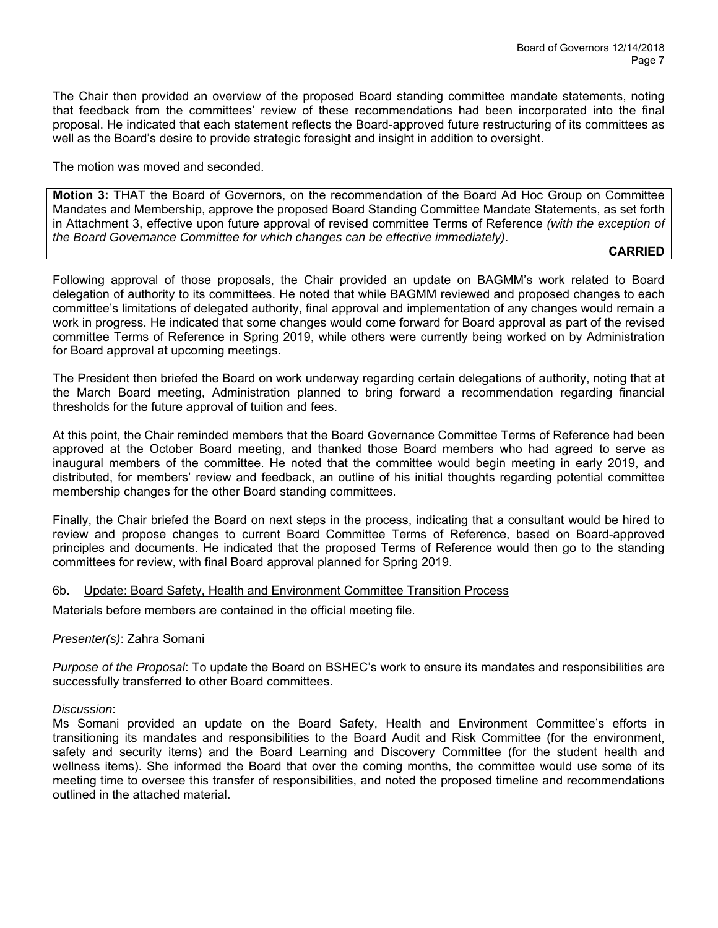The Chair then provided an overview of the proposed Board standing committee mandate statements, noting that feedback from the committees' review of these recommendations had been incorporated into the final proposal. He indicated that each statement reflects the Board-approved future restructuring of its committees as well as the Board's desire to provide strategic foresight and insight in addition to oversight.

The motion was moved and seconded.

**Motion 3:** THAT the Board of Governors, on the recommendation of the Board Ad Hoc Group on Committee Mandates and Membership, approve the proposed Board Standing Committee Mandate Statements, as set forth in Attachment 3, effective upon future approval of revised committee Terms of Reference *(with the exception of the Board Governance Committee for which changes can be effective immediately)*.

## **CARRIED**

Following approval of those proposals, the Chair provided an update on BAGMM's work related to Board delegation of authority to its committees. He noted that while BAGMM reviewed and proposed changes to each committee's limitations of delegated authority, final approval and implementation of any changes would remain a work in progress. He indicated that some changes would come forward for Board approval as part of the revised committee Terms of Reference in Spring 2019, while others were currently being worked on by Administration for Board approval at upcoming meetings.

The President then briefed the Board on work underway regarding certain delegations of authority, noting that at the March Board meeting, Administration planned to bring forward a recommendation regarding financial thresholds for the future approval of tuition and fees.

At this point, the Chair reminded members that the Board Governance Committee Terms of Reference had been approved at the October Board meeting, and thanked those Board members who had agreed to serve as inaugural members of the committee. He noted that the committee would begin meeting in early 2019, and distributed, for members' review and feedback, an outline of his initial thoughts regarding potential committee membership changes for the other Board standing committees.

Finally, the Chair briefed the Board on next steps in the process, indicating that a consultant would be hired to review and propose changes to current Board Committee Terms of Reference, based on Board-approved principles and documents. He indicated that the proposed Terms of Reference would then go to the standing committees for review, with final Board approval planned for Spring 2019.

#### 6b. Update: Board Safety, Health and Environment Committee Transition Process

Materials before members are contained in the official meeting file.

## *Presenter(s)*: Zahra Somani

*Purpose of the Proposal*: To update the Board on BSHEC's work to ensure its mandates and responsibilities are successfully transferred to other Board committees.

#### *Discussion*:

Ms Somani provided an update on the Board Safety, Health and Environment Committee's efforts in transitioning its mandates and responsibilities to the Board Audit and Risk Committee (for the environment, safety and security items) and the Board Learning and Discovery Committee (for the student health and wellness items). She informed the Board that over the coming months, the committee would use some of its meeting time to oversee this transfer of responsibilities, and noted the proposed timeline and recommendations outlined in the attached material.